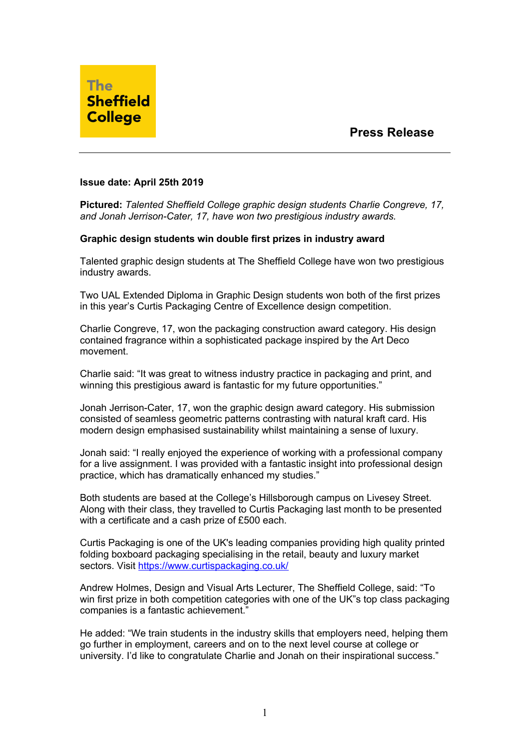

## **Issue date: April 25th 2019**

**Pictured:** *Talented Sheffield College graphic design students Charlie Congreve, 17, and Jonah Jerrison-Cater, 17, have won two prestigious industry awards.*

## **Graphic design students win double first prizes in industry award**

Talented graphic design students at The Sheffield College have won two prestigious industry awards.

Two UAL Extended Diploma in Graphic Design students won both of the first prizes in this year's Curtis Packaging Centre of Excellence design competition.

Charlie Congreve, 17, won the packaging construction award category. His design contained fragrance within a sophisticated package inspired by the Art Deco movement.

Charlie said: "It was great to witness industry practice in packaging and print, and winning this prestigious award is fantastic for my future opportunities."

Jonah Jerrison-Cater, 17, won the graphic design award category. His submission consisted of seamless geometric patterns contrasting with natural kraft card. His modern design emphasised sustainability whilst maintaining a sense of luxury.

Jonah said: "I really enjoyed the experience of working with a professional company for a live assignment. I was provided with a fantastic insight into professional design practice, which has dramatically enhanced my studies."

Both students are based at the College's Hillsborough campus on Livesey Street. Along with their class, they travelled to Curtis Packaging last month to be presented with a certificate and a cash prize of £500 each.

Curtis Packaging is one of the UK's leading companies providing high quality printed folding boxboard packaging specialising in the retail, beauty and luxury market sectors. Visit https://www.curtispackaging.co.uk/

Andrew Holmes, Design and Visual Arts Lecturer, The Sheffield College, said: "To win first prize in both competition categories with one of the UK"s top class packaging companies is a fantastic achievement."

He added: "We train students in the industry skills that employers need, helping them go further in employment, careers and on to the next level course at college or university. I'd like to congratulate Charlie and Jonah on their inspirational success."